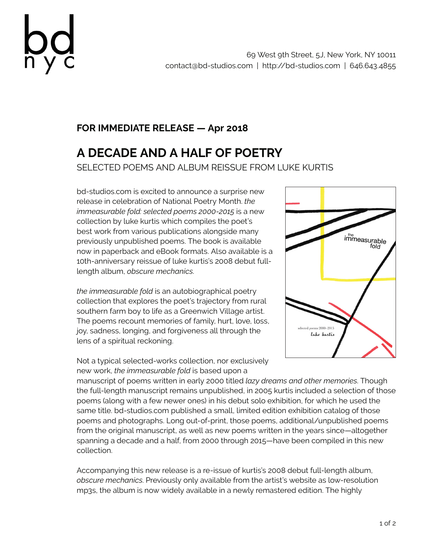

## **FOR IMMEDIATE RELEASE — Apr 2018**

## **A DECADE AND A HALF OF POETRY** SELECTED POEMS AND ALBUM REISSUE FROM LUKE KURTIS

bd-studios.com is excited to announce a surprise new release in celebration of National Poetry Month. *the immeasurable fold: selected poems 2000-2015* is a new collection by luke kurtis which compiles the poet's best work from various publications alongside many previously unpublished poems. The book is available now in paperback and eBook formats. Also available is a 10th-anniversary reissue of luke kurtis's 2008 debut fulllength album, *obscure mechanics*.

*the immeasurable fold* is an autobiographical poetry collection that explores the poet's trajectory from rural southern farm boy to life as a Greenwich Village artist. The poems recount memories of family, hurt, love, loss, joy, sadness, longing, and forgiveness all through the lens of a spiritual reckoning.

immeasurable folo selected poems 2000-2015 luke kurtis

Not a typical selected-works collection, nor exclusively new work, *the immeasurable fold* is based upon a

manuscript of poems written in early 2000 titled *lazy dreams and other memories*. Though the full-length manuscript remains unpublished, in 2005 kurtis included a selection of those poems (along with a few newer ones) in his debut solo exhibition, for which he used the same title. bd-studios.com published a small, limited edition exhibition catalog of those poems and photographs. Long out-of-print, those poems, additional/unpublished poems from the original manuscript, as well as new poems written in the years since—altogether spanning a decade and a half, from 2000 through 2015—have been compiled in this new collection.

Accompanying this new release is a re-issue of kurtis's 2008 debut full-length album, *obscure mechanics*. Previously only available from the artist's website as low-resolution mp3s, the album is now widely available in a newly remastered edition. The highly